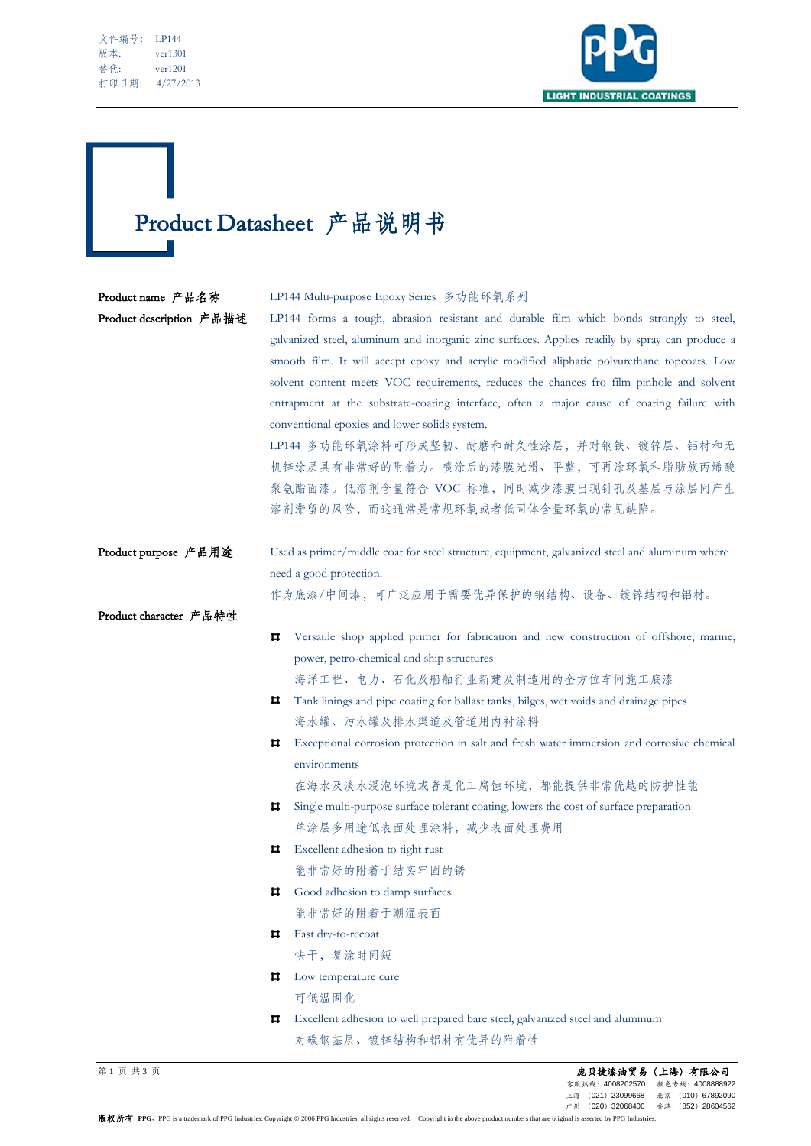| 文件编号: | LP144     |
|-------|-----------|
| 版本:   | ver1301   |
| 替代:   | ver1201   |
| 打印日期: | 4/27/2013 |

Ī



## Product Datasheet 产品说明书

| Product name 产品名称<br>Product description 产品描述 | LP144 Multi-purpose Epoxy Series 多功能环氧系列<br>LP144 forms a tough, abrasion resistant and durable film which bonds strongly to steel,<br>galvanized steel, aluminum and inorganic zinc surfaces. Applies readily by spray can produce a<br>smooth film. It will accept epoxy and acrylic modified aliphatic polyurethane topcoats. Low<br>solvent content meets VOC requirements, reduces the chances fro film pinhole and solvent<br>entrapment at the substrate-coating interface, often a major cause of coating failure with<br>conventional epoxies and lower solids system.<br>LP144 多功能环氧涂料可形成坚韧、耐磨和耐久性涂层,并对钢铁、镀锌层、铝材和无<br>机锌涂层具有非常好的附着力。喷涂后的漆膜光滑、平整,可再涂环氧和脂肪族丙烯酸<br>聚氨酯面漆。低溶剂含量符合 VOC 标准, 同时减少漆膜出现针孔及基层与涂层间产生<br>溶剂滞留的风险,而这通常是常规环氧或者低固体含量环氧的常见缺陷。 |
|-----------------------------------------------|---------------------------------------------------------------------------------------------------------------------------------------------------------------------------------------------------------------------------------------------------------------------------------------------------------------------------------------------------------------------------------------------------------------------------------------------------------------------------------------------------------------------------------------------------------------------------------------------------------------------------------------------------------------------------------------------------------------------------------------------------------|
| Product purpose 产品用途                          | Used as primer/middle coat for steel structure, equipment, galvanized steel and aluminum where<br>need a good protection.                                                                                                                                                                                                                                                                                                                                                                                                                                                                                                                                                                                                                               |
| Product character 产品特性                        | 作为底漆/中间漆,可广泛应用于需要优异保护的钢结构、设备、镀锌结构和铝材。                                                                                                                                                                                                                                                                                                                                                                                                                                                                                                                                                                                                                                                                                                                   |
|                                               | Versatile shop applied primer for fabrication and new construction of offshore, marine,<br>ᄑ                                                                                                                                                                                                                                                                                                                                                                                                                                                                                                                                                                                                                                                            |
|                                               | power, petro-chemical and ship structures                                                                                                                                                                                                                                                                                                                                                                                                                                                                                                                                                                                                                                                                                                               |
|                                               | 海洋工程、电力、石化及船舶行业新建及制造用的全方位车间施工底漆                                                                                                                                                                                                                                                                                                                                                                                                                                                                                                                                                                                                                                                                                                                         |
|                                               | Tank linings and pipe coating for ballast tanks, bilges, wet voids and drainage pipes<br>ᄑ<br>海水罐、污水罐及排水渠道及管道用内衬涂料                                                                                                                                                                                                                                                                                                                                                                                                                                                                                                                                                                                                                                      |
|                                               | Exceptional corrosion protection in salt and fresh water immersion and corrosive chemical<br>ᄇ                                                                                                                                                                                                                                                                                                                                                                                                                                                                                                                                                                                                                                                          |
|                                               | environments                                                                                                                                                                                                                                                                                                                                                                                                                                                                                                                                                                                                                                                                                                                                            |
|                                               | 在海水及淡水浸泡环境或者是化工腐蚀环境,都能提供非常优越的防护性能                                                                                                                                                                                                                                                                                                                                                                                                                                                                                                                                                                                                                                                                                                                       |
|                                               | Single multi-purpose surface tolerant coating, lowers the cost of surface preparation<br>ᄑ                                                                                                                                                                                                                                                                                                                                                                                                                                                                                                                                                                                                                                                              |
|                                               | 单涂层多用途低表面处理涂料, 减少表面处理费用                                                                                                                                                                                                                                                                                                                                                                                                                                                                                                                                                                                                                                                                                                                                 |
|                                               | Excellent adhesion to tight rust<br>ᄇ                                                                                                                                                                                                                                                                                                                                                                                                                                                                                                                                                                                                                                                                                                                   |
|                                               | 能非常好的附着于结实牢固的锈                                                                                                                                                                                                                                                                                                                                                                                                                                                                                                                                                                                                                                                                                                                                          |
|                                               | Good adhesion to damp surfaces<br>ᄑ                                                                                                                                                                                                                                                                                                                                                                                                                                                                                                                                                                                                                                                                                                                     |
|                                               | 能非常好的附着于潮湿表面                                                                                                                                                                                                                                                                                                                                                                                                                                                                                                                                                                                                                                                                                                                                            |
|                                               | Fast dry-to-recoat<br>ᄇ                                                                                                                                                                                                                                                                                                                                                                                                                                                                                                                                                                                                                                                                                                                                 |
|                                               | 快干, 复涂时间短                                                                                                                                                                                                                                                                                                                                                                                                                                                                                                                                                                                                                                                                                                                                               |
|                                               | ᄇ<br>Low temperature cure                                                                                                                                                                                                                                                                                                                                                                                                                                                                                                                                                                                                                                                                                                                               |
|                                               | 可低温固化                                                                                                                                                                                                                                                                                                                                                                                                                                                                                                                                                                                                                                                                                                                                                   |
|                                               | Excellent adhesion to well prepared bare steel, galvanized steel and aluminum<br>ᄇ                                                                                                                                                                                                                                                                                                                                                                                                                                                                                                                                                                                                                                                                      |
|                                               | 对碳钢基层、镀锌结构和铝材有优异的附着性                                                                                                                                                                                                                                                                                                                                                                                                                                                                                                                                                                                                                                                                                                                                    |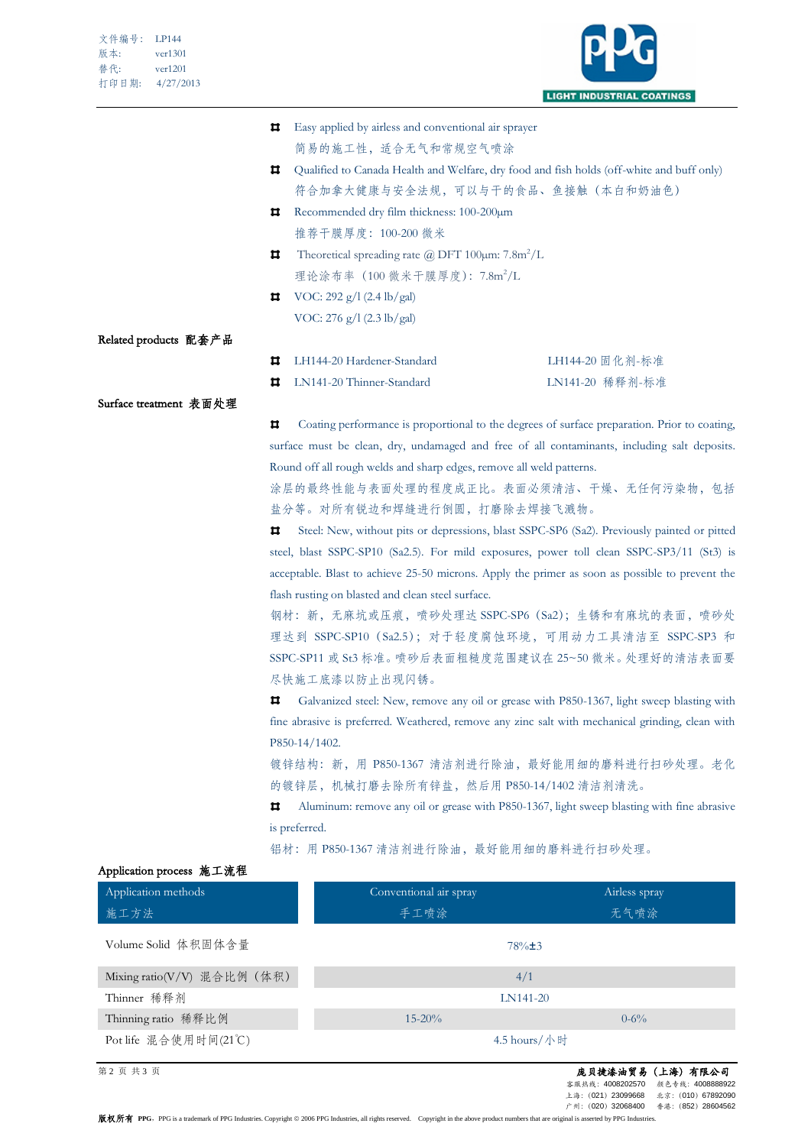

|                        | ᄇ  | Easy applied by airless and conventional air sprayer                                                                            |                 |  |
|------------------------|----|---------------------------------------------------------------------------------------------------------------------------------|-----------------|--|
|                        |    | 简易的施工性, 适合无气和常规空气喷涂                                                                                                             |                 |  |
|                        | ᄇ  | Qualified to Canada Health and Welfare, dry food and fish holds (off-white and buff only)                                       |                 |  |
|                        |    | 符合加拿大健康与安全法规,可以与干的食品、鱼接触(本白和奶油色)                                                                                                |                 |  |
|                        | ᄇ  | Recommended dry film thickness: 100-200µm                                                                                       |                 |  |
|                        |    | 推荐干膜厚度: 100-200 微米                                                                                                              |                 |  |
|                        | Ħ. | Theoretical spreading rate ( $\hat{\alpha}$ ) DFT 100 $\mu$ m: 7.8m <sup>2</sup> /L<br>理论涂布率 (100 微米干膜厚度): 7.8m <sup>2</sup> /L |                 |  |
|                        |    |                                                                                                                                 |                 |  |
|                        |    | <b>11</b> VOC: 292 g/l (2.4 lb/gal)                                                                                             |                 |  |
|                        |    | VOC: 276 g/l (2.3 lb/gal)                                                                                                       |                 |  |
| Related products 配套产品  |    |                                                                                                                                 |                 |  |
|                        | ㅁ  | LH144-20 Hardener-Standard                                                                                                      | LH144-20 固化剂-标准 |  |
|                        | o  | LN141-20 Thinner-Standard                                                                                                       | LN141-20 稀释剂-标准 |  |
| Surface treatment 表面处理 |    |                                                                                                                                 |                 |  |

 $\pmb{\Pi}$ Coating performance is proportional to the degrees of surface preparation. Prior to coating, surface must be clean, dry, undamaged and free of all contaminants, including salt deposits. Round off all rough welds and sharp edges, remove all weld patterns.

涂层的最终性能与表面处理的程度成正比。表面必须清洁、干燥、无任何污染物,包括 盐分等。对所有锐边和焊缝进行倒圆,打磨除去焊接飞溅物。

Ħ. Steel: New, without pits or depressions, blast SSPC-SP6 (Sa2). Previously painted or pitted steel, blast SSPC-SP10 (Sa2.5). For mild exposures, power toll clean SSPC-SP3/11 (St3) is acceptable. Blast to achieve 25-50 microns. Apply the primer as soon as possible to prevent the flash rusting on blasted and clean steel surface.

钢材:新,无麻坑或压痕,喷砂处理达 SSPC-SP6(Sa2);生锈和有麻坑的表面,喷砂处 理达到 SSPC-SP10 (Sa2.5); 对于轻度腐蚀环境, 可用动力工具清洁至 SSPC-SP3 和 SSPC-SP11 或 St3 标准。喷砂后表面粗糙度范围建议在 25~50 微米。处理好的清洁表面要 尽快施工底漆以防止出现闪锈。

 $\overline{\mathbf{u}}$ Galvanized steel: New, remove any oil or grease with P850-1367, light sweep blasting with fine abrasive is preferred. Weathered, remove any zinc salt with mechanical grinding, clean with P850-14/1402.

镀锌结构: 新, 用 P850-1367 清洁剂进行除油, 最好能用细的磨料进行扫砂处理。老化 的镀锌层,机械打磨去除所有锌盐,然后用 P850-14/1402 清洁剂清洗。

 $\overline{\mathbf{u}}$ Aluminum: remove any oil or grease with P850-1367, light sweep blasting with fine abrasive is preferred.

Application methods 施工方法 Conventional air spray 手工喷涂 Airless spray 无气喷涂 Volume Solid 体积固体含量 78%±3 Mixing  $ratio(V/V)$  混合比例(体积)  $4/1$ Thinner 稀释剂 LN141-20 Thinning ratio 稀释比例 15-20% 0-6% Pot life 混合使用时间(21℃) 4.5 hours/小时

铝材: 用 P850-1367 清洁剂进行除油, 最好能用细的磨料进行扫砂处理。

## Application process 施工流程

## 第 2 页 共 3 页 庞贝捷漆油贸易(上海)有限公司